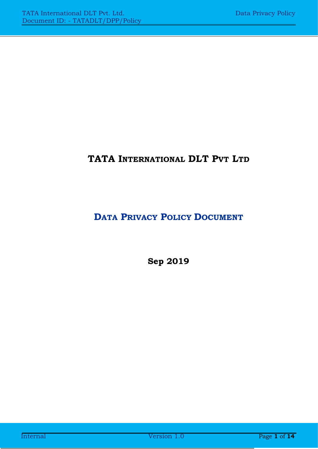# **TATA INTERNATIONAL DLT PVT LTD**

# **DATA PRIVACY POLICY DOCUMENT**

**Sep 2019**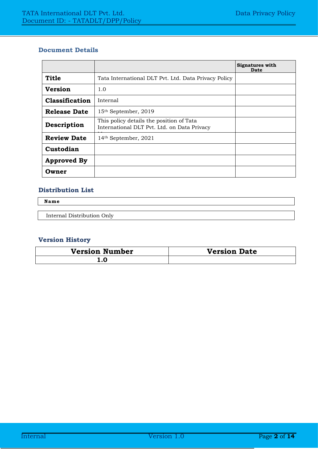#### **Document Details**

|                     |                                                                                         | <b>Signatures with</b><br>Date |
|---------------------|-----------------------------------------------------------------------------------------|--------------------------------|
| <b>Title</b>        | Tata International DLT Pvt. Ltd. Data Privacy Policy                                    |                                |
| <b>Version</b>      | 1.0                                                                                     |                                |
| Classification      | Internal                                                                                |                                |
| <b>Release Date</b> | 15 <sup>th</sup> September, 2019                                                        |                                |
| Description         | This policy details the position of Tata<br>International DLT Pvt. Ltd. on Data Privacy |                                |
| <b>Review Date</b>  | 14 <sup>th</sup> September, 2021                                                        |                                |
| Custodian           |                                                                                         |                                |
| <b>Approved By</b>  |                                                                                         |                                |
| Owner               |                                                                                         |                                |

#### **Distribution List**

**Name**

Internal Distribution Only

#### **Version History**

| <b>Version Number</b> | <b>Version Date</b> |
|-----------------------|---------------------|
| L.U                   |                     |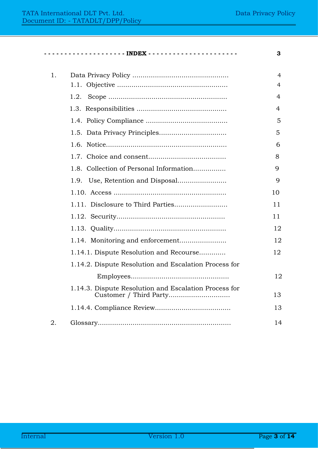**- - - - - - - - - - - - - - - - - - - - INDEX - - - - - - - - - - - - - - - - - - - - - - 3**

| 1. |                                                                                 | 4  |
|----|---------------------------------------------------------------------------------|----|
|    |                                                                                 | 4  |
|    | 1.2.                                                                            | 4  |
|    |                                                                                 | 4  |
|    |                                                                                 | 5  |
|    |                                                                                 | 5  |
|    |                                                                                 | 6  |
|    |                                                                                 | 8  |
|    | 1.8. Collection of Personal Information                                         | 9  |
|    | 1.9.                                                                            | 9  |
|    |                                                                                 | 10 |
|    |                                                                                 | 11 |
|    |                                                                                 | 11 |
|    |                                                                                 | 12 |
|    |                                                                                 | 12 |
|    | 1.14.1. Dispute Resolution and Recourse                                         | 12 |
|    | 1.14.2. Dispute Resolution and Escalation Process for                           |    |
|    |                                                                                 | 12 |
|    | 1.14.3. Dispute Resolution and Escalation Process for<br>Customer / Third Party | 13 |
|    |                                                                                 | 13 |
| 2. |                                                                                 | 14 |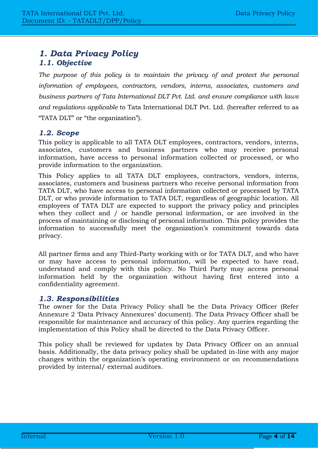# <span id="page-3-1"></span><span id="page-3-0"></span>*1. Data Privacy Policy 1.1. Objective*

The purpose of this policy is to maintain the privacy of and protect the personal *information of employees, contractors, vendors, interns, associates, customers and business partners of Tata International DLT Pvt. Ltd. and ensure compliance with laws and regulations applicable* to Tata International DLT Pvt. Ltd. (hereafter referred to as "TATA DLT" or "the organization").

## <span id="page-3-2"></span>*1.2. Scope*

This policy is applicable to all TATA DLT employees, contractors, vendors, interns, associates, customers and business partners who may receive personal information, have access to personal information collected or processed, or who provide information to the organization.

This Policy applies to all TATA DLT employees, contractors, vendors, interns, associates, customers and business partners who receive personal information from TATA DLT, who have access to personal information collected or processed by TATA DLT, or who provide information to TATA DLT, regardless of geographic location. All employees of TATA DLT are expected to support the privacy policy and principles when they collect and / or handle personal information, or are involved in the process of maintaining or disclosing of personal information. This policy provides the information to successfully meet the organization's commitment towards data privacy.

All partner firms and any Third-Party working with or for TATA DLT, and who have or may have access to personal information, will be expected to have read, understand and comply with this policy. No Third Party may access personal information held by the organization without having first entered into a confidentiality agreement.

#### <span id="page-3-3"></span>*1.3. Responsibilities*

The owner for the Data Privacy Policy shall be the Data Privacy Officer (Refer Annexure 2 'Data Privacy Annexures' document). The Data Privacy Officer shall be responsible for maintenance and accuracy of this policy. Any queries regarding the implementation of this Policy shall be directed to the Data Privacy Officer.

This policy shall be reviewed for updates by Data Privacy Officer on an annual basis. Additionally, the data privacy policy shall be updated in-line with any major changes within the organization's operating environment or on recommendations provided by internal/ external auditors.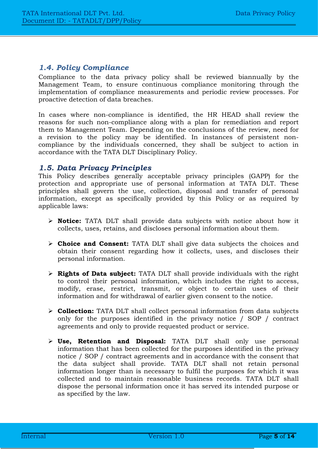## <span id="page-4-0"></span>*1.4. Policy Compliance*

Compliance to the data privacy policy shall be reviewed biannually by the Management Team, to ensure continuous compliance monitoring through the implementation of compliance measurements and periodic review processes. For proactive detection of data breaches.

In cases where non-compliance is identified, the HR HEAD shall review the reasons for such non-compliance along with a plan for remediation and report them to Management Team. Depending on the conclusions of the review, need for a revision to the policy may be identified. In instances of persistent noncompliance by the individuals concerned, they shall be subject to action in accordance with the TATA DLT Disciplinary Policy.

#### <span id="page-4-1"></span>*1.5. Data Privacy Principles*

This Policy describes generally acceptable privacy principles (GAPP) for the protection and appropriate use of personal information at TATA DLT. These principles shall govern the use, collection, disposal and transfer of personal information, except as specifically provided by this Policy or as required by applicable laws:

- ➢ **Notice:** TATA DLT shall provide data subjects with notice about how it collects, uses, retains, and discloses personal information about them.
- ➢ **Choice and Consent:** TATA DLT shall give data subjects the choices and obtain their consent regarding how it collects, uses, and discloses their personal information.
- ➢ **Rights of Data subject:** TATA DLT shall provide individuals with the right to control their personal information, which includes the right to access, modify, erase, restrict, transmit, or object to certain uses of their information and for withdrawal of earlier given consent to the notice.
- ➢ **Collection:** TATA DLT shall collect personal information from data subjects only for the purposes identified in the privacy notice / SOP / contract agreements and only to provide requested product or service.
- ➢ **Use, Retention and Disposal:** TATA DLT shall only use personal information that has been collected for the purposes identified in the privacy notice / SOP / contract agreements and in accordance with the consent that the data subject shall provide. TATA DLT shall not retain personal information longer than is necessary to fulfil the purposes for which it was collected and to maintain reasonable business records. TATA DLT shall dispose the personal information once it has served its intended purpose or as specified by the law.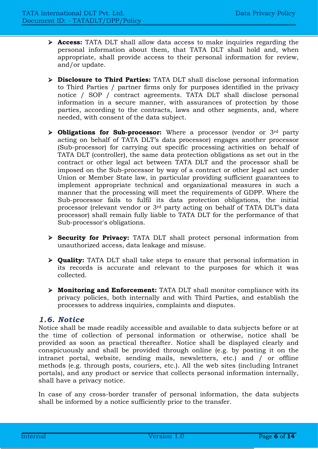- ➢ **Access:** TATA DLT shall allow data access to make inquiries regarding the personal information about them, that TATA DLT shall hold and, when appropriate, shall provide access to their personal information for review, and/or update.
- ➢ **Disclosure to Third Parties:** TATA DLT shall disclose personal information to Third Parties / partner firms only for purposes identified in the privacy notice / SOP / contract agreements. TATA DLT shall disclose personal information in a secure manner, with assurances of protection by those parties, according to the contracts, laws and other segments, and, where needed, with consent of the data subject.
- ➢ **Obligations for Sub-processor:** Where a processor (vendor or 3rd party acting on behalf of TATA DLT's data processor) engages another processor (Sub-processor) for carrying out specific processing activities on behalf of TATA DLT (controller), the same data protection obligations as set out in the contract or other legal act between TATA DLT and the processor shall be imposed on the Sub-processor by way of a contract or other legal act under Union or Member State law, in particular providing sufficient guarantees to implement appropriate technical and organizational measures in such a manner that the processing will meet the requirements of GDPP. Where the Sub-processor fails to fulfil its data protection obligations, the initial processor (relevant vendor or 3rd party acting on behalf of TATA DLT's data processor) shall remain fully liable to TATA DLT for the performance of that Sub-processor's obligations.
- ➢ **Security for Privacy:** TATA DLT shall protect personal information from unauthorized access, data leakage and misuse.
- ➢ **Quality:** TATA DLT shall take steps to ensure that personal information in its records is accurate and relevant to the purposes for which it was collected.
- ➢ **Monitoring and Enforcement:** TATA DLT shall monitor compliance with its privacy policies, both internally and with Third Parties, and establish the processes to address inquiries, complaints and disputes.

#### <span id="page-5-0"></span>*1.6. Notice*

Notice shall be made readily accessible and available to data subjects before or at the time of collection of personal information or otherwise, notice shall be provided as soon as practical thereafter. Notice shall be displayed clearly and conspicuously and shall be provided through online (e.g. by posting it on the intranet portal, website, sending mails, newsletters, etc.) and / or offline methods (e.g. through posts, couriers, etc.). All the web sites (including Intranet portals), and any product or service that collects personal information internally, shall have a privacy notice.

In case of any cross-border transfer of personal information, the data subjects shall be informed by a notice sufficiently prior to the transfer.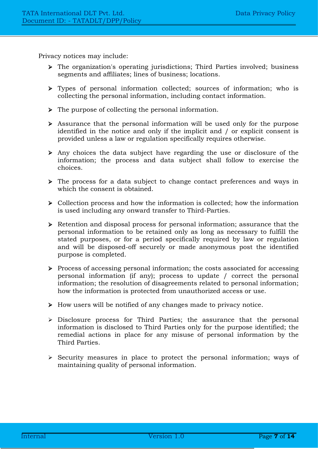Privacy notices may include:

- ➢ The organization's operating jurisdictions; Third Parties involved; business segments and affiliates; lines of business; locations.
- ➢ Types of personal information collected; sources of information; who is collecting the personal information, including contact information.
- ➢ The purpose of collecting the personal information.
- ➢ Assurance that the personal information will be used only for the purpose identified in the notice and only if the implicit and / or explicit consent is provided unless a law or regulation specifically requires otherwise.
- ➢ Any choices the data subject have regarding the use or disclosure of the information; the process and data subject shall follow to exercise the choices.
- ➢ The process for a data subject to change contact preferences and ways in which the consent is obtained.
- ➢ Collection process and how the information is collected; how the information is used including any onward transfer to Third-Parties.
- ➢ Retention and disposal process for personal information; assurance that the personal information to be retained only as long as necessary to fulfill the stated purposes, or for a period specifically required by law or regulation and will be disposed-off securely or made anonymous post the identified purpose is completed.
- ➢ Process of accessing personal information; the costs associated for accessing personal information (if any); process to update / correct the personal information; the resolution of disagreements related to personal information; how the information is protected from unauthorized access or use.
- ➢ How users will be notified of any changes made to privacy notice.
- ➢ Disclosure process for Third Parties; the assurance that the personal information is disclosed to Third Parties only for the purpose identified; the remedial actions in place for any misuse of personal information by the Third Parties.
- ➢ Security measures in place to protect the personal information; ways of maintaining quality of personal information.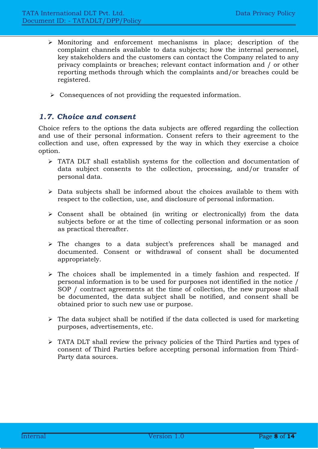- ➢ Monitoring and enforcement mechanisms in place; description of the complaint channels available to data subjects; how the internal personnel, key stakeholders and the customers can contact the Company related to any privacy complaints or breaches; relevant contact information and / or other reporting methods through which the complaints and/or breaches could be registered.
- ➢ Consequences of not providing the requested information.

## <span id="page-7-0"></span>*1.7. Choice and consent*

Choice refers to the options the data subjects are offered regarding the collection and use of their personal information. Consent refers to their agreement to the collection and use, often expressed by the way in which they exercise a choice option.

- ➢ TATA DLT shall establish systems for the collection and documentation of data subject consents to the collection, processing, and/or transfer of personal data.
- ➢ Data subjects shall be informed about the choices available to them with respect to the collection, use, and disclosure of personal information.
- ➢ Consent shall be obtained (in writing or electronically) from the data subjects before or at the time of collecting personal information or as soon as practical thereafter.
- ➢ The changes to a data subject's preferences shall be managed and documented. Consent or withdrawal of consent shall be documented appropriately.
- ➢ The choices shall be implemented in a timely fashion and respected. If personal information is to be used for purposes not identified in the notice / SOP / contract agreements at the time of collection, the new purpose shall be documented, the data subject shall be notified, and consent shall be obtained prior to such new use or purpose.
- $\triangleright$  The data subject shall be notified if the data collected is used for marketing purposes, advertisements, etc.
- ➢ TATA DLT shall review the privacy policies of the Third Parties and types of consent of Third Parties before accepting personal information from Third-Party data sources.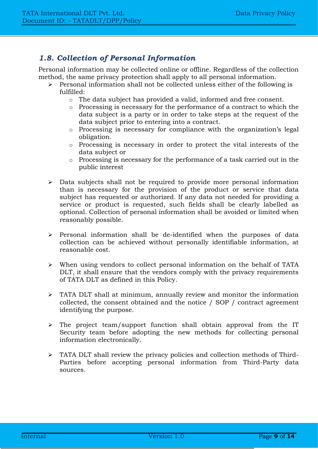## <span id="page-8-0"></span>*1.8. Collection of Personal Information*

Personal information may be collected online or offline. Regardless of the collection method, the same privacy protection shall apply to all personal information.

- ➢ Personal information shall not be collected unless either of the following is  $f_{11}$  $f_{11}$  $f_{11}$  $f_{11}$ 
	- o The data subject has provided a valid, informed and free consent.
	- o Processing is necessary for the performance of a contract to which the data subject is a party or in order to take steps at the request of the data subject prior to entering into a contract.
	- o Processing is necessary for compliance with the organization's legal obligation.
	- o Processing is necessary in order to protect the vital interests of the data subject or
	- o Processing is necessary for the performance of a task carried out in the public interest
- ➢ Data subjects shall not be required to provide more personal information than is necessary for the provision of the product or service that data subject has requested or authorized. If any data not needed for providing a service or product is requested, such fields shall be clearly labelled as optional. Collection of personal information shall be avoided or limited when reasonably possible.
- ➢ Personal information shall be de-identified when the purposes of data collection can be achieved without personally identifiable information, at reasonable cost.
- ➢ When using vendors to collect personal information on the behalf of TATA DLT, it shall ensure that the vendors comply with the privacy requirements of TATA DLT as defined in this Policy.
- ➢ TATA DLT shall at minimum, annually review and monitor the information collected, the consent obtained and the notice / SOP / contract agreement identifying the purpose.
- ➢ The project team/support function shall obtain approval from the IT Security team before adopting the new methods for collecting personal information electronically.
- ➢ TATA DLT shall review the privacy policies and collection methods of Third-Parties before accepting personal information from Third-Party data sources.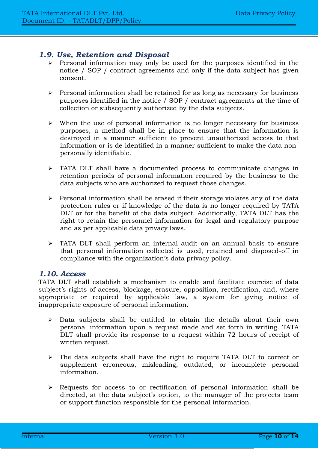## <span id="page-9-0"></span>*1.9. Use, Retention and Disposal*

- ➢ Personal information may only be used for the purposes identified in the notice / SOP / contract agreements and only if the data subject has given consent.
- ➢ Personal information shall be retained for as long as necessary for business purposes identified in the notice / SOP / contract agreements at the time of collection or subsequently authorized by the data subjects.
- ➢ When the use of personal information is no longer necessary for business purposes, a method shall be in place to ensure that the information is destroyed in a manner sufficient to prevent unauthorized access to that information or is de-identified in a manner sufficient to make the data nonpersonally identifiable.
- ➢ TATA DLT shall have a documented process to communicate changes in retention periods of personal information required by the business to the data subjects who are authorized to request those changes.
- ➢ Personal information shall be erased if their storage violates any of the data protection rules or if knowledge of the data is no longer required by TATA DLT or for the benefit of the data subject. Additionally, TATA DLT has the right to retain the personnel information for legal and regulatory purpose and as per applicable data privacy laws.
- ➢ TATA DLT shall perform an internal audit on an annual basis to ensure that personal information collected is used, retained and disposed-off in compliance with the organization's data privacy policy.

#### <span id="page-9-1"></span>*1.10. Access*

TATA DLT shall establish a mechanism to enable and facilitate exercise of data subject's rights of access, blockage, erasure, opposition, rectification, and, where appropriate or required by applicable law, a system for giving notice of inappropriate exposure of personal information.

- ➢ Data subjects shall be entitled to obtain the details about their own personal information upon a request made and set forth in writing. TATA DLT shall provide its response to a request within 72 hours of receipt of written request.
- ➢ The data subjects shall have the right to require TATA DLT to correct or supplement erroneous, misleading, outdated, or incomplete personal information.
- ➢ Requests for access to or rectification of personal information shall be directed, at the data subject's option, to the manager of the projects team or support function responsible for the personal information.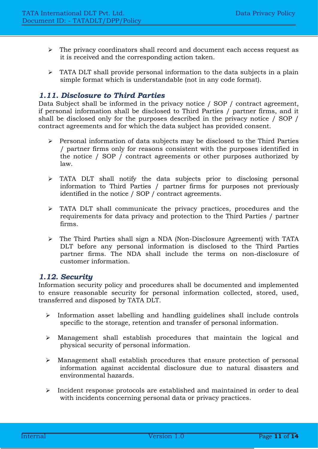- ➢ The privacy coordinators shall record and document each access request as it is received and the corresponding action taken.
- ➢ TATA DLT shall provide personal information to the data subjects in a plain simple format which is understandable (not in any code format).

## <span id="page-10-0"></span>*1.11. Disclosure to Third Parties*

Data Subject shall be informed in the privacy notice / SOP / contract agreement, if personal information shall be disclosed to Third Parties / partner firms, and it shall be disclosed only for the purposes described in the privacy notice / SOP / contract agreements and for which the data subject has provided consent.

- ➢ Personal information of data subjects may be disclosed to the Third Parties / partner firms only for reasons consistent with the purposes identified in the notice / SOP / contract agreements or other purposes authorized by law.
- ➢ TATA DLT shall notify the data subjects prior to disclosing personal information to Third Parties / partner firms for purposes not previously identified in the notice / SOP / contract agreements.
- ➢ TATA DLT shall communicate the privacy practices, procedures and the requirements for data privacy and protection to the Third Parties / partner firms.
- ➢ The Third Parties shall sign a NDA (Non-Disclosure Agreement) with TATA DLT before any personal information is disclosed to the Third Parties partner firms. The NDA shall include the terms on non-disclosure of customer information.

## <span id="page-10-1"></span>*1.12. Security*

Information security policy and procedures shall be documented and implemented to ensure reasonable security for personal information collected, stored, used, transferred and disposed by TATA DLT.

- ➢ Information asset labelling and handling guidelines shall include controls specific to the storage, retention and transfer of personal information.
- ➢ Management shall establish procedures that maintain the logical and physical security of personal information.
- ➢ Management shall establish procedures that ensure protection of personal information against accidental disclosure due to natural disasters and environmental hazards.
- ➢ Incident response protocols are established and maintained in order to deal with incidents concerning personal data or privacy practices.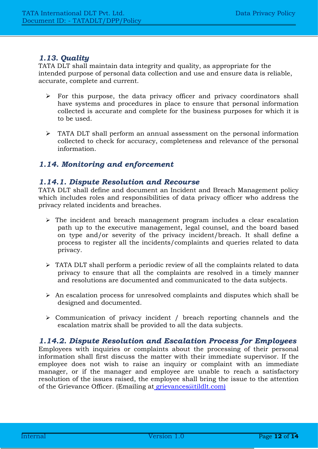## <span id="page-11-0"></span>*1.13. Quality*

TATA DLT shall maintain data integrity and quality, as appropriate for the intended purpose of personal data collection and use and ensure data is reliable, accurate, complete and current.

- $\triangleright$  For this purpose, the data privacy officer and privacy coordinators shall have systems and procedures in place to ensure that personal information collected is accurate and complete for the business purposes for which it is to be used.
- ➢ TATA DLT shall perform an annual assessment on the personal information collected to check for accuracy, completeness and relevance of the personal information.

## <span id="page-11-1"></span>*1.14. Monitoring and enforcement*

## *1.14.1. Dispute Resolution and Recourse*

TATA DLT shall define and document an Incident and Breach Management policy which includes roles and responsibilities of data privacy officer who address the privacy related incidents and breaches.

- ➢ The incident and breach management program includes a clear escalation path up to the executive management, legal counsel, and the board based on type and/or severity of the privacy incident/breach. It shall define a process to register all the incidents/complaints and queries related to data privacy.
- ➢ TATA DLT shall perform a periodic review of all the complaints related to data privacy to ensure that all the complaints are resolved in a timely manner and resolutions are documented and communicated to the data subjects.
- ➢ An escalation process for unresolved complaints and disputes which shall be designed and documented.
- ➢ Communication of privacy incident / breach reporting channels and the escalation matrix shall be provided to all the data subjects.

#### <span id="page-11-2"></span>*1.14.2. Dispute Resolution and Escalation Process for Employees*

Employees with inquiries or complaints about the processing of their personal information shall first discuss the matter with their immediate supervisor. If the employee does not wish to raise an inquiry or complaint with an immediate manager, or if the manager and employee are unable to reach a satisfactory resolution of the issues raised, the employee shall bring the issue to the attention of the Grievance Officer. (Emailing at [grievances@tildlt.com\)](mailto:%20grievances@tildlt.com))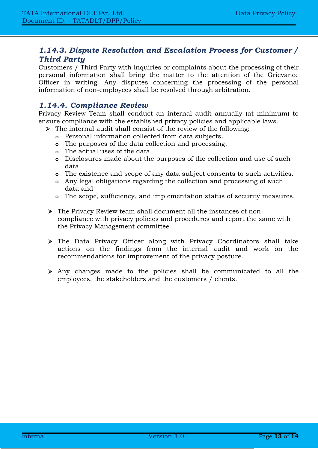## <span id="page-12-0"></span>*1.14.3. Dispute Resolution and Escalation Process for Customer / Third Party*

Customers / Third Party with inquiries or complaints about the processing of their personal information shall bring the matter to the attention of the Grievance Officer in writing. Any disputes concerning the processing of the personal information of non-employees shall be resolved through arbitration.

## <span id="page-12-1"></span>*1.14.4. Compliance Review*

Privacy Review Team shall conduct an internal audit annually (at minimum) to ensure compliance with the established privacy policies and applicable laws.

- ➢ The internal audit shall consist of the review of the following:
	- **o** Personal information collected from data subjects.
	- **o** The purposes of the data collection and processing.
	- **o** The actual uses of the data.
	- **o** Disclosures made about the purposes of the collection and use of such data.
	- **o** The existence and scope of any data subject consents to such activities.
	- **o** Any legal obligations regarding the collection and processing of such data and
	- **o** The scope, sufficiency, and implementation status of security measures.
- ➢ The Privacy Review team shall document all the instances of noncompliance with privacy policies and procedures and report the same with the Privacy Management committee.
- ➢ The Data Privacy Officer along with Privacy Coordinators shall take actions on the findings from the internal audit and work on the recommendations for improvement of the privacy posture.
- ➢ Any changes made to the policies shall be communicated to all the employees, the stakeholders and the customers / clients.